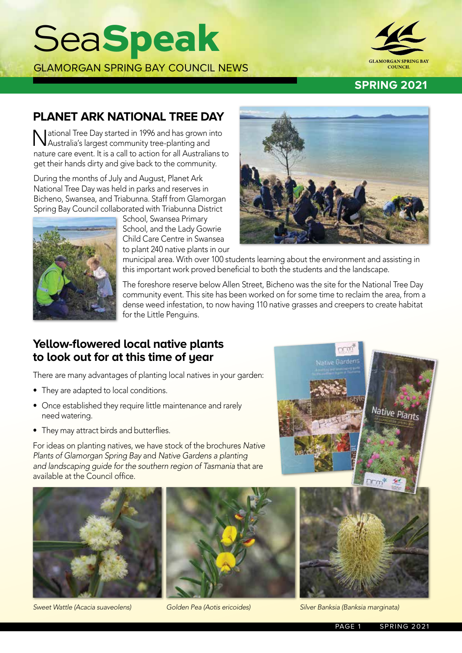## **SeaSpeak**

GLAMORGAN SPRING BAY COUNCIL NEWS



#### **SPRING 2021**

## **PLANET ARK NATIONAL TREE DAY**

National Tree Day started in 1996 and has grown into Australia's largest community tree-planting and nature care event. It is a call to action for all Australians to get their hands dirty and give back to the community.

During the months of July and August, Planet Ark National Tree Day was held in parks and reserves in Bicheno, Swansea, and Triabunna. Staff from Glamorgan Spring Bay Council collaborated with Triabunna District

> School, Swansea Primary School, and the Lady Gowrie Child Care Centre in Swansea to plant 240 native plants in our



municipal area. With over 100 students learning about the environment and assisting in this important work proved beneficial to both the students and the landscape.

The foreshore reserve below Allen Street, Bicheno was the site for the National Tree Day community event. This site has been worked on for some time to reclaim the area, from a dense weed infestation, to now having 110 native grasses and creepers to create habitat for the Little Penguins.

### **Yellow-flowered local native plants to look out for at this time of year**

There are many advantages of planting local natives in your garden:

- They are adapted to local conditions.
- Once established they require little maintenance and rarely need watering.
- They may attract birds and butterflies.

For ideas on planting natives, we have stock of the brochures *Native Plants of Glamorgan Spring Bay* and *Native Gardens a planting and landscaping guide for the southern region of Tasmania* that are available at the Council office.









*Sweet Wattle (Acacia suaveolens) Golden Pea (Aotis ericoides) Silver Banksia (Banksia marginata)*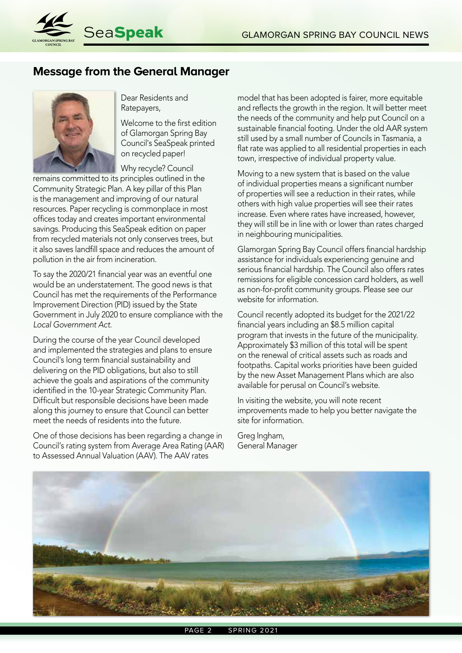

## **Message from the General Manager**



Dear Residents and Ratepayers,

Welcome to the first edition of Glamorgan Spring Bay Council's SeaSpeak printed on recycled paper!

Why recycle? Council

remains committed to its principles outlined in the Community Strategic Plan. A key pillar of this Plan is the management and improving of our natural resources. Paper recycling is commonplace in most offices today and creates important environmental savings. Producing this SeaSpeak edition on paper from recycled materials not only conserves trees, but it also saves landfill space and reduces the amount of pollution in the air from incineration.

To say the 2020/21 financial year was an eventful one would be an understatement. The good news is that Council has met the requirements of the Performance Improvement Direction (PID) issued by the State Government in July 2020 to ensure compliance with the *Local Government Act*.

During the course of the year Council developed and implemented the strategies and plans to ensure Council's long term financial sustainability and delivering on the PID obligations, but also to still achieve the goals and aspirations of the community identified in the 10-year Strategic Community Plan. Difficult but responsible decisions have been made along this journey to ensure that Council can better meet the needs of residents into the future.

One of those decisions has been regarding a change in Council's rating system from Average Area Rating (AAR) to Assessed Annual Valuation (AAV). The AAV rates

model that has been adopted is fairer, more equitable and reflects the growth in the region. It will better meet the needs of the community and help put Council on a sustainable financial footing. Under the old AAR system still used by a small number of Councils in Tasmania, a flat rate was applied to all residential properties in each town, irrespective of individual property value.

Moving to a new system that is based on the value of individual properties means a significant number of properties will see a reduction in their rates, while others with high value properties will see their rates increase. Even where rates have increased, however, they will still be in line with or lower than rates charged in neighbouring municipalities.

Glamorgan Spring Bay Council offers financial hardship assistance for individuals experiencing genuine and serious financial hardship. The Council also offers rates remissions for eligible concession card holders, as well as non-for-profit community groups. Please see our website for information.

Council recently adopted its budget for the 2021/22 financial years including an \$8.5 million capital program that invests in the future of the municipality. Approximately \$3 million of this total will be spent on the renewal of critical assets such as roads and footpaths. Capital works priorities have been guided by the new Asset Management Plans which are also available for perusal on Council's website.

In visiting the website, you will note recent improvements made to help you better navigate the site for information.

Greg Ingham, General Manager

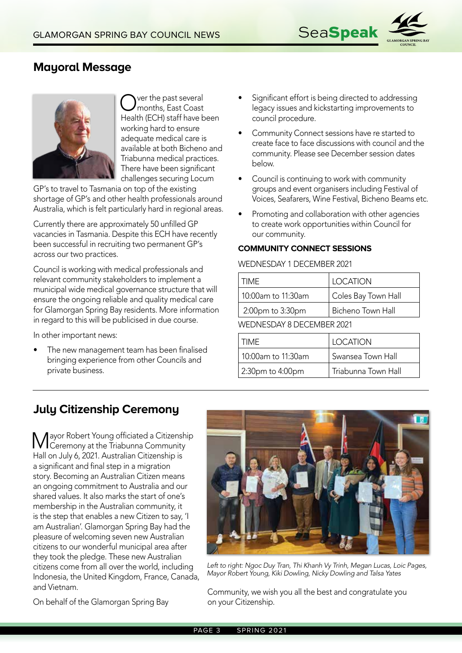

## **Mayoral Message**



Over the past several<br> **Ournonths, East Coast** Health (ECH) staff have been working hard to ensure adequate medical care is available at both Bicheno and Triabunna medical practices. There have been significant challenges securing Locum

GP's to travel to Tasmania on top of the existing shortage of GP's and other health professionals around Australia, which is felt particularly hard in regional areas.

Currently there are approximately 50 unfilled GP vacancies in Tasmania. Despite this ECH have recently been successful in recruiting two permanent GP's across our two practices.

Council is working with medical professionals and relevant community stakeholders to implement a municipal wide medical governance structure that will ensure the ongoing reliable and quality medical care for Glamorgan Spring Bay residents. More information in regard to this will be publicised in due course.

In other important news:

The new management team has been finalised bringing experience from other Councils and private business.

- Significant effort is being directed to addressing legacy issues and kickstarting improvements to council procedure.
- Community Connect sessions have re started to create face to face discussions with council and the community. Please see December session dates below.
- Council is continuing to work with community groups and event organisers including Festival of Voices, Seafarers, Wine Festival, Bicheno Beams etc.
- Promoting and collaboration with other agencies to create work opportunities within Council for our community.

#### **COMMUNITY CONNECT SESSIONS**

#### WEDNESDAY 1 DECEMBER 2021

| <b>TIME</b>        | <b>LOCATION</b>     |
|--------------------|---------------------|
| 10:00am to 11:30am | Coles Bay Town Hall |
| 2:00pm to 3:30pm   | Bicheno Town Hall   |

WEDNESDAY 8 DECEMBER 2021

| TIMF               | <b>LOCATION</b>     |
|--------------------|---------------------|
| 10:00am to 11:30am | Swansea Town Hall   |
| 2:30pm to 4:00pm   | Triabunna Town Hall |

## **July Citizenship Ceremony**

Mayor Robert Young officiated a Citizenship Ceremony at the Triabunna Community Hall on July 6, 2021. Australian Citizenship is a significant and final step in a migration story. Becoming an Australian Citizen means an ongoing commitment to Australia and our shared values. It also marks the start of one's membership in the Australian community, it is the step that enables a new Citizen to say, 'I am Australian'. Glamorgan Spring Bay had the pleasure of welcoming seven new Australian citizens to our wonderful municipal area after they took the pledge. These new Australian citizens come from all over the world, including Indonesia, the United Kingdom, France, Canada, and Vietnam.



*Left to right: Ngoc Duy Tran, Thi Khanh Vy Trinh, Megan Lucas, Loic Pages, Mayor Robert Young, Kiki Dowling, Nicky Dowling and Talsa Yates*

On behalf of the Glamorgan Spring Bay

Community, we wish you all the best and congratulate you on your Citizenship.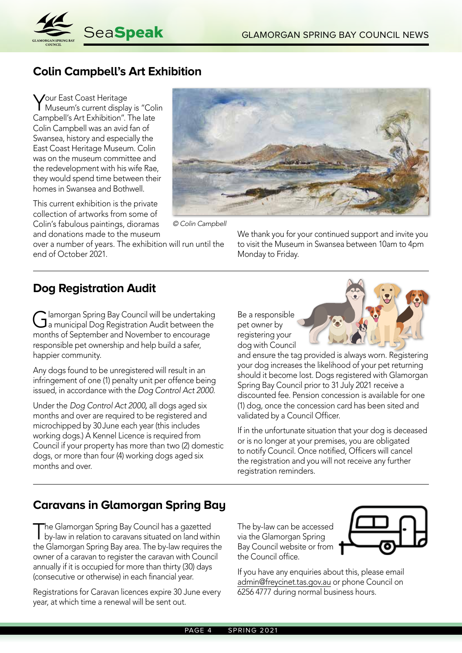

## **Colin Campbell's Art Exhibition**

Your East Coast Heritage Museum's current display is "Colin Campbell's Art Exhibition". The late Colin Campbell was an avid fan of Swansea, history and especially the East Coast Heritage Museum. Colin was on the museum committee and the redevelopment with his wife Rae, they would spend time between their homes in Swansea and Bothwell.

This current exhibition is the private collection of artworks from some of Colin's fabulous paintings, dioramas and donations made to the museum

over a number of years. The exhibition will run until the end of October 2021.



*© Colin Campbell* 

We thank you for your continued support and invite you to visit the Museum in Swansea between 10am to 4pm Monday to Friday.

#### **Dog Registration Audit**

Glamorgan Spring Bay Council will be undertaking<br>Ga municipal Dog Registration Audit between the months of September and November to encourage responsible pet ownership and help build a safer, happier community.

Any dogs found to be unregistered will result in an infringement of one (1) penalty unit per offence being issued, in accordance with the *Dog Control Act 2000.*

Under the *Dog Control Act 2000,* all dogs aged six months and over are required to be registered and microchipped by 30June each year (this includes working dogs.) A Kennel Licence is required from Council if your property has more than two (2) domestic dogs, or more than four (4) working dogs aged six months and over.

Be a responsible pet owner by registering your dog with Council



and ensure the tag provided is always worn. Registering your dog increases the likelihood of your pet returning should it become lost. Dogs registered with Glamorgan Spring Bay Council prior to 31July 2021 receive a discounted fee. Pension concession is available for one (1) dog, once the concession card has been sited and validated by a Council Officer.

If in the unfortunate situation that your dog is deceased or is no longer at your premises, you are obligated to notify Council. Once notified, Officers will cancel the registration and you will not receive any further registration reminders.

## **Caravans in Glamorgan Spring Bay**

The Glamorgan Spring Bay Council has a gazetted by-law in relation to caravans situated on land within the Glamorgan Spring Bay area. The by-law requires the owner of a caravan to register the caravan with Council annually if it is occupied for more than thirty (30) days (consecutive or otherwise) in each financial year.

Registrations for Caravan licences expire 30 June every year, at which time a renewal will be sent out.

The by-law can be accessed via the Glamorgan Spring Bay Council website or from 1 the Council office.



If you have any enquiries about this, please email admin@freycinet.tas.gov.au or phone Council on 6256 4777 during normal business hours.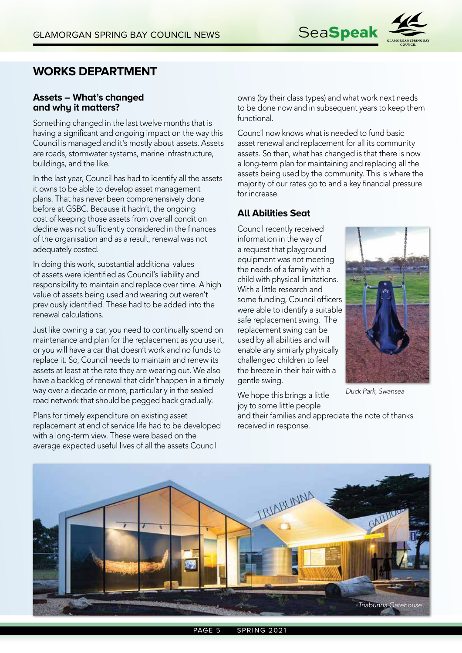

#### **WORKS DEPARTMENT**

#### **Assets – What's changed and why it matters?**

Something changed in the last twelve months that is having a significant and ongoing impact on the way this Council is managed and it's mostly about assets. Assets are roads, stormwater systems, marine infrastructure, buildings, and the like.

In the last year, Council has had to identify all the assets it owns to be able to develop asset management plans. That has never been comprehensively done before at GSBC. Because it hadn't, the ongoing cost of keeping those assets from overall condition decline was not sufficiently considered in the finances of the organisation and as a result, renewal was not adequately costed.

In doing this work, substantial additional values of assets were identified as Council's liability and responsibility to maintain and replace over time. A high value of assets being used and wearing out weren't previously identified. These had to be added into the renewal calculations.

Just like owning a car, you need to continually spend on maintenance and plan for the replacement as you use it, or you will have a car that doesn't work and no funds to replace it. So, Council needs to maintain and renew its assets at least at the rate they are wearing out. We also have a backlog of renewal that didn't happen in a timely way over a decade or more, particularly in the sealed road network that should be pegged back gradually.

Plans for timely expenditure on existing asset replacement at end of service life had to be developed with a long-term view. These were based on the average expected useful lives of all the assets Council

owns (by their class types) and what work next needs to be done now and in subsequent years to keep them functional.

Council now knows what is needed to fund basic asset renewal and replacement for all its community assets. So then, what has changed is that there is now a long-term plan for maintaining and replacing all the assets being used by the community. This is where the majority of our rates go to and a key financial pressure for increase.

#### **All Abilities Seat**

Council recently received information in the way of a request that playground equipment was not meeting the needs of a family with a child with physical limitations. With a little research and some funding, Council officers were able to identify a suitable safe replacement swing. The replacement swing can be used by all abilities and will enable any similarly physically challenged children to feel the breeze in their hair with a gentle swing.

We hope this brings a little joy to some little people



*Duck Park, Swansea*

and their families and appreciate the note of thanks received in response.

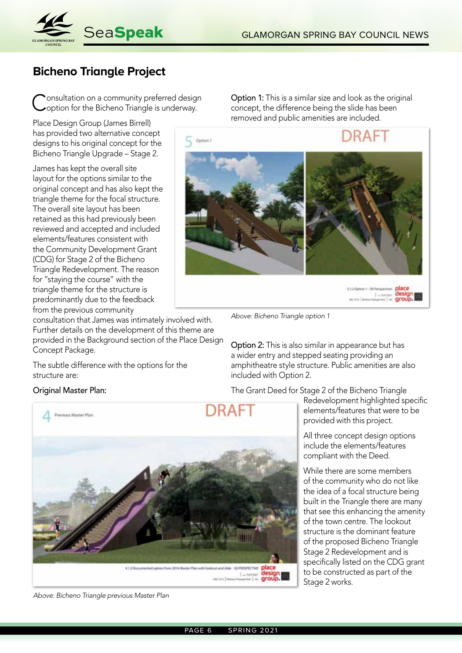

## **Bicheno Triangle Project**

Consultation on a community preferred design<br>Coption for the Bicheno Triangle is underway.

Place Design Group (James Birrell) has provided two alternative concept designs to his original concept for the Bicheno Triangle Upgrade – Stage 2.

James has kept the overall site layout for the options similar to the original concept and has also kept the triangle theme for the focal structure. The overall site layout has been retained as this had previously been reviewed and accepted and included elements/features consistent with the Community Development Grant (CDG) for Stage 2 of the Bicheno Triangle Redevelopment. The reason for "staying the course" with the triangle theme for the structure is predominantly due to the feedback from the previous community

consultation that James was intimately involved with. Further details on the development of this theme are provided in the Background section of the Place Design Concept Package.

The subtle difference with the options for the structure are:

#### Original Master Plan:



*Above: Bicheno Triangle previous Master Plan*

Option 1: This is a similar size and look as the original concept, the difference being the slide has been removed and public amenities are included.



5.1.2 Option 1 - 3D Perspectives 120mm 1-30 Persection place

*Above: Bicheno Triangle option 1*

Option 2: This is also similar in appearance but has a wider entry and stepped seating providing an amphitheatre style structure. Public amenities are also included with Option 2.

The Grant Deed for Stage 2 of the Bicheno Triangle

Redevelopment highlighted specific elements/features that were to be provided with this project.

All three concept design options include the elements/features compliant with the Deed.

While there are some members of the community who do not like the idea of a focal structure being built in the Triangle there are many that see this enhancing the amenity of the town centre. The lookout structure is the dominant feature of the proposed Bicheno Triangle Stage 2 Redevelopment and is specifically listed on the CDG grant to be constructed as part of the Stage 2 works.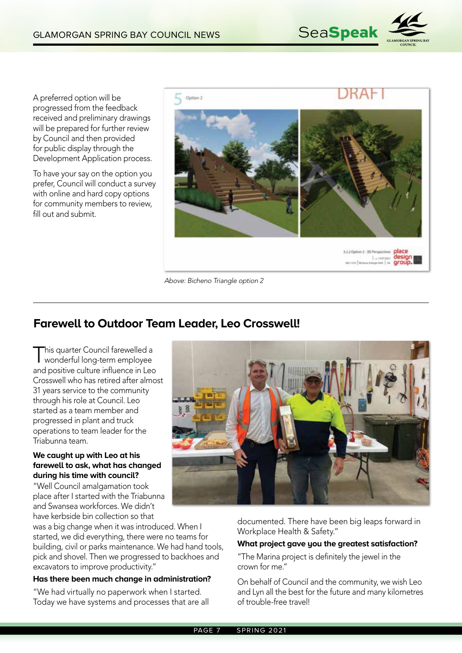

A preferred option will be progressed from the feedback received and preliminary drawings will be prepared for further review by Council and then provided for public display through the Development Application process.

To have your say on the option you prefer, Council will conduct a survey with online and hard copy options for community members to review, fill out and submit.



*Above: Bicheno Triangle option 2*

### **Farewell to Outdoor Team Leader, Leo Crosswell!**

This quarter Council farewelled a wonderful long-term employee and positive culture influence in Leo Crosswell who has retired after almost 31 years service to the community through his role at Council. Leo started as a team member and progressed in plant and truck operations to team leader for the Triabunna team.

#### **We caught up with Leo at his farewell to ask, what has changed during his time with council?**

"Well Council amalgamation took place after I started with the Triabunna and Swansea workforces. We didn't have kerbside bin collection so that

was a big change when it was introduced. When I started, we did everything, there were no teams for building, civil or parks maintenance. We had hand tools, pick and shovel. Then we progressed to backhoes and excavators to improve productivity."

#### **Has there been much change in administration?**

"We had virtually no paperwork when I started. Today we have systems and processes that are all



documented. There have been big leaps forward in Workplace Health & Safety."

#### **What project gave you the greatest satisfaction?**

"The Marina project is definitely the jewel in the crown for me."

On behalf of Council and the community, we wish Leo and Lyn all the best for the future and many kilometres of trouble-free travel!